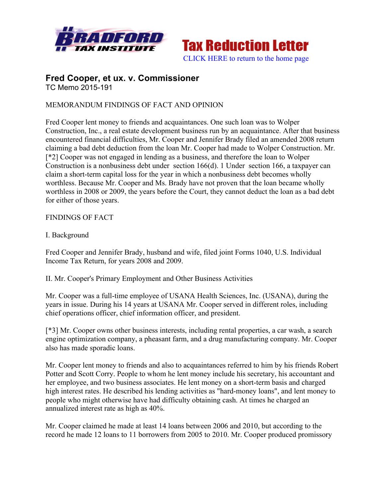



#### **Fred Cooper, et ux. v. Commissioner** TC Memo 2015-191

# MEMORANDUM FINDINGS OF FACT AND OPINION

Fred Cooper lent money to friends and acquaintances. One such loan was to Wolper Construction, Inc., a real estate development business run by an acquaintance. After that business encountered financial difficulties, Mr. Cooper and Jennifer Brady filed an amended 2008 return claiming a bad debt deduction from the loan Mr. Cooper had made to Wolper Construction. Mr. [\*2] Cooper was not engaged in lending as a business, and therefore the loan to Wolper Construction is a nonbusiness debt under section 166(d). 1 Under section 166, a taxpayer can claim a short-term capital loss for the year in which a nonbusiness debt becomes wholly worthless. Because Mr. Cooper and Ms. Brady have not proven that the loan became wholly worthless in 2008 or 2009, the years before the Court, they cannot deduct the loan as a bad debt for either of those years.

## FINDINGS OF FACT

### I. Background

Fred Cooper and Jennifer Brady, husband and wife, filed joint Forms 1040, U.S. Individual Income Tax Return, for years 2008 and 2009.

II. Mr. Cooper's Primary Employment and Other Business Activities

Mr. Cooper was a full-time employee of USANA Health Sciences, Inc. (USANA), during the years in issue. During his 14 years at USANA Mr. Cooper served in different roles, including chief operations officer, chief information officer, and president.

[\*3] Mr. Cooper owns other business interests, including rental properties, a car wash, a search engine optimization company, a pheasant farm, and a drug manufacturing company. Mr. Cooper also has made sporadic loans.

Mr. Cooper lent money to friends and also to acquaintances referred to him by his friends Robert Potter and Scott Corry. People to whom he lent money include his secretary, his accountant and her employee, and two business associates. He lent money on a short-term basis and charged high interest rates. He described his lending activities as "hard-money loans", and lent money to people who might otherwise have had difficulty obtaining cash. At times he charged an annualized interest rate as high as 40%.

Mr. Cooper claimed he made at least 14 loans between 2006 and 2010, but according to the record he made 12 loans to 11 borrowers from 2005 to 2010. Mr. Cooper produced promissory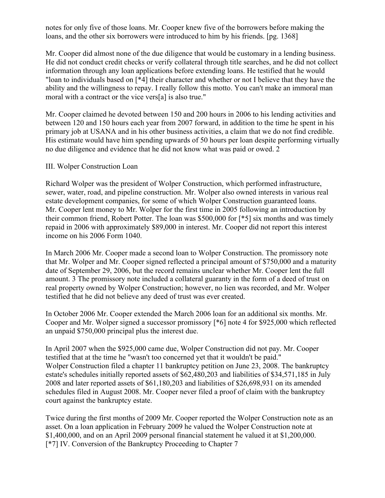notes for only five of those loans. Mr. Cooper knew five of the borrowers before making the loans, and the other six borrowers were introduced to him by his friends. [pg. 1368]

Mr. Cooper did almost none of the due diligence that would be customary in a lending business. He did not conduct credit checks or verify collateral through title searches, and he did not collect information through any loan applications before extending loans. He testified that he would "loan to individuals based on [\*4] their character and whether or not I believe that they have the ability and the willingness to repay. I really follow this motto. You can't make an immoral man moral with a contract or the vice vers[a] is also true."

Mr. Cooper claimed he devoted between 150 and 200 hours in 2006 to his lending activities and between 120 and 150 hours each year from 2007 forward, in addition to the time he spent in his primary job at USANA and in his other business activities, a claim that we do not find credible. His estimate would have him spending upwards of 50 hours per loan despite performing virtually no due diligence and evidence that he did not know what was paid or owed. 2

#### III. Wolper Construction Loan

Richard Wolper was the president of Wolper Construction, which performed infrastructure, sewer, water, road, and pipeline construction. Mr. Wolper also owned interests in various real estate development companies, for some of which Wolper Construction guaranteed loans. Mr. Cooper lent money to Mr. Wolper for the first time in 2005 following an introduction by their common friend, Robert Potter. The loan was \$500,000 for [\*5] six months and was timely repaid in 2006 with approximately \$89,000 in interest. Mr. Cooper did not report this interest income on his 2006 Form 1040.

In March 2006 Mr. Cooper made a second loan to Wolper Construction. The promissory note that Mr. Wolper and Mr. Cooper signed reflected a principal amount of \$750,000 and a maturity date of September 29, 2006, but the record remains unclear whether Mr. Cooper lent the full amount. 3 The promissory note included a collateral guaranty in the form of a deed of trust on real property owned by Wolper Construction; however, no lien was recorded, and Mr. Wolper testified that he did not believe any deed of trust was ever created.

In October 2006 Mr. Cooper extended the March 2006 loan for an additional six months. Mr. Cooper and Mr. Wolper signed a successor promissory [\*6] note 4 for \$925,000 which reflected an unpaid \$750,000 principal plus the interest due.

In April 2007 when the \$925,000 came due, Wolper Construction did not pay. Mr. Cooper testified that at the time he "wasn't too concerned yet that it wouldn't be paid." Wolper Construction filed a chapter 11 bankruptcy petition on June 23, 2008. The bankruptcy estate's schedules initially reported assets of \$62,480,203 and liabilities of \$34,571,185 in July 2008 and later reported assets of \$61,180,203 and liabilities of \$26,698,931 on its amended schedules filed in August 2008. Mr. Cooper never filed a proof of claim with the bankruptcy court against the bankruptcy estate.

Twice during the first months of 2009 Mr. Cooper reported the Wolper Construction note as an asset. On a loan application in February 2009 he valued the Wolper Construction note at \$1,400,000, and on an April 2009 personal financial statement he valued it at \$1,200,000. [\*7] IV. Conversion of the Bankruptcy Proceeding to Chapter 7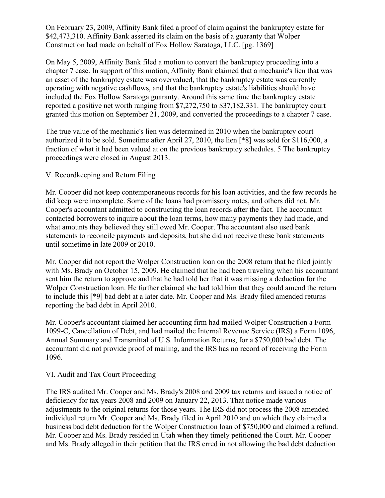On February 23, 2009, Affinity Bank filed a proof of claim against the bankruptcy estate for \$42,473,310. Affinity Bank asserted its claim on the basis of a guaranty that Wolper Construction had made on behalf of Fox Hollow Saratoga, LLC. [pg. 1369]

On May 5, 2009, Affinity Bank filed a motion to convert the bankruptcy proceeding into a chapter 7 case. In support of this motion, Affinity Bank claimed that a mechanic's lien that was an asset of the bankruptcy estate was overvalued, that the bankruptcy estate was currently operating with negative cashflows, and that the bankruptcy estate's liabilities should have included the Fox Hollow Saratoga guaranty. Around this same time the bankruptcy estate reported a positive net worth ranging from \$7,272,750 to \$37,182,331. The bankruptcy court granted this motion on September 21, 2009, and converted the proceedings to a chapter 7 case.

The true value of the mechanic's lien was determined in 2010 when the bankruptcy court authorized it to be sold. Sometime after April 27, 2010, the lien [\*8] was sold for \$116,000, a fraction of what it had been valued at on the previous bankruptcy schedules. 5 The bankruptcy proceedings were closed in August 2013.

## V. Recordkeeping and Return Filing

Mr. Cooper did not keep contemporaneous records for his loan activities, and the few records he did keep were incomplete. Some of the loans had promissory notes, and others did not. Mr. Cooper's accountant admitted to constructing the loan records after the fact. The accountant contacted borrowers to inquire about the loan terms, how many payments they had made, and what amounts they believed they still owed Mr. Cooper. The accountant also used bank statements to reconcile payments and deposits, but she did not receive these bank statements until sometime in late 2009 or 2010.

Mr. Cooper did not report the Wolper Construction loan on the 2008 return that he filed jointly with Ms. Brady on October 15, 2009. He claimed that he had been traveling when his accountant sent him the return to approve and that he had told her that it was missing a deduction for the Wolper Construction loan. He further claimed she had told him that they could amend the return to include this [\*9] bad debt at a later date. Mr. Cooper and Ms. Brady filed amended returns reporting the bad debt in April 2010.

Mr. Cooper's accountant claimed her accounting firm had mailed Wolper Construction a Form 1099-C, Cancellation of Debt, and had mailed the Internal Revenue Service (IRS) a Form 1096, Annual Summary and Transmittal of U.S. Information Returns, for a \$750,000 bad debt. The accountant did not provide proof of mailing, and the IRS has no record of receiving the Form 1096.

## VI. Audit and Tax Court Proceeding

The IRS audited Mr. Cooper and Ms. Brady's 2008 and 2009 tax returns and issued a notice of deficiency for tax years 2008 and 2009 on January 22, 2013. That notice made various adjustments to the original returns for those years. The IRS did not process the 2008 amended individual return Mr. Cooper and Ms. Brady filed in April 2010 and on which they claimed a business bad debt deduction for the Wolper Construction loan of \$750,000 and claimed a refund. Mr. Cooper and Ms. Brady resided in Utah when they timely petitioned the Court. Mr. Cooper and Ms. Brady alleged in their petition that the IRS erred in not allowing the bad debt deduction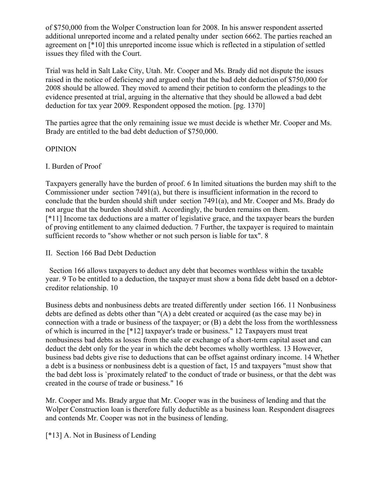of \$750,000 from the Wolper Construction loan for 2008. In his answer respondent asserted additional unreported income and a related penalty under section 6662. The parties reached an agreement on [\*10] this unreported income issue which is reflected in a stipulation of settled issues they filed with the Court.

Trial was held in Salt Lake City, Utah. Mr. Cooper and Ms. Brady did not dispute the issues raised in the notice of deficiency and argued only that the bad debt deduction of \$750,000 for 2008 should be allowed. They moved to amend their petition to conform the pleadings to the evidence presented at trial, arguing in the alternative that they should be allowed a bad debt deduction for tax year 2009. Respondent opposed the motion. [pg. 1370]

The parties agree that the only remaining issue we must decide is whether Mr. Cooper and Ms. Brady are entitled to the bad debt deduction of \$750,000.

### OPINION

### I. Burden of Proof

Taxpayers generally have the burden of proof. 6 In limited situations the burden may shift to the Commissioner under section 7491(a), but there is insufficient information in the record to conclude that the burden should shift under section 7491(a), and Mr. Cooper and Ms. Brady do not argue that the burden should shift. Accordingly, the burden remains on them. [\*11] Income tax deductions are a matter of legislative grace, and the taxpayer bears the burden of proving entitlement to any claimed deduction. 7 Further, the taxpayer is required to maintain sufficient records to "show whether or not such person is liable for tax". 8

#### II. Section 166 Bad Debt Deduction

 Section 166 allows taxpayers to deduct any debt that becomes worthless within the taxable year. 9 To be entitled to a deduction, the taxpayer must show a bona fide debt based on a debtorcreditor relationship. 10

Business debts and nonbusiness debts are treated differently under section 166. 11 Nonbusiness debts are defined as debts other than "(A) a debt created or acquired (as the case may be) in connection with a trade or business of the taxpayer; or (B) a debt the loss from the worthlessness of which is incurred in the [\*12] taxpayer's trade or business." 12 Taxpayers must treat nonbusiness bad debts as losses from the sale or exchange of a short-term capital asset and can deduct the debt only for the year in which the debt becomes wholly worthless. 13 However, business bad debts give rise to deductions that can be offset against ordinary income. 14 Whether a debt is a business or nonbusiness debt is a question of fact, 15 and taxpayers "must show that the bad debt loss is `proximately related' to the conduct of trade or business, or that the debt was created in the course of trade or business." 16

Mr. Cooper and Ms. Brady argue that Mr. Cooper was in the business of lending and that the Wolper Construction loan is therefore fully deductible as a business loan. Respondent disagrees and contends Mr. Cooper was not in the business of lending.

[\*13] A. Not in Business of Lending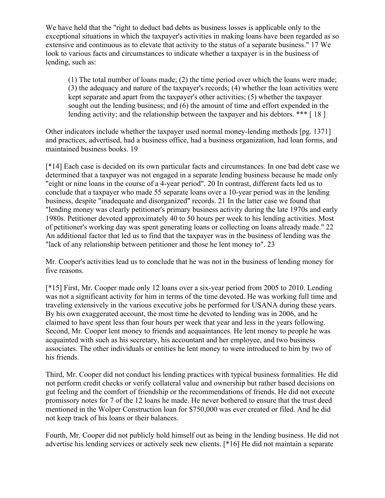We have held that the "right to deduct bad debts as business losses is applicable only to the exceptional situations in which the taxpayer's activities in making loans have been regarded as so extensive and continuous as to elevate that activity to the status of a separate business." 17 We look to various facts and circumstances to indicate whether a taxpayer is in the business of lending, such as:

(1) The total number of loans made; (2) the time period over which the loans were made; (3) the adequacy and nature of the taxpayer's records; (4) whether the loan activities were kept separate and apart from the taxpayer's other activities; (5) whether the taxpayer sought out the lending business; and (6) the amount of time and effort expended in the lending activity; and the relationship between the taxpayer and his debtors. \*\*\* [18]

Other indicators include whether the taxpayer used normal money-lending methods [pg. 1371] and practices, advertised, had a business office, had a business organization, had loan forms, and maintained business books. 19

[\*14] Each case is decided on its own particular facts and circumstances. In one bad debt case we determined that a taxpayer was not engaged in a separate lending business because he made only "eight or nine loans in the course of a 4-year period". 20 In contrast, different facts led us to conclude that a taxpayer who made 55 separate loans over a 10-year period was in the lending business, despite "inadequate and disorganized" records. 21 In the latter case we found that "lending money was clearly petitioner's primary business activity during the late 1970s and early 1980s. Petitioner devoted approximately 40 to 50 hours per week to his lending activities. Most of petitioner's working day was spent generating loans or collecting on loans already made." 22 An additional factor that led us to find that the taxpayer was in the business of lending was the "lack of any relationship between petitioner and those he lent money to". 23

Mr. Cooper's activities lead us to conclude that he was not in the business of lending money for five reasons.

[\*15] First, Mr. Cooper made only 12 loans over a six-year period from 2005 to 2010. Lending was not a significant activity for him in terms of the time devoted. He was working full time and traveling extensively in the various executive jobs he performed for USANA during these years. By his own exaggerated account, the most time he devoted to lending was in 2006, and he claimed to have spent less than four hours per week that year and less in the years following. Second, Mr. Cooper lent money to friends and acquaintances. He lent money to people he was acquainted with such as his secretary, his accountant and her employee, and two business associates. The other individuals or entities he lent money to were introduced to him by two of his friends.

Third, Mr. Cooper did not conduct his lending practices with typical business formalities. He did not perform credit checks or verify collateral value and ownership but rather based decisions on gut feeling and the comfort of friendship or the recommendations of friends. He did not execute promissory notes for 7 of the 12 loans he made. He never bothered to ensure that the trust deed mentioned in the Wolper Construction loan for \$750,000 was ever created or filed. And he did not keep track of his loans or their balances.

Fourth, Mr. Cooper did not publicly hold himself out as being in the lending business. He did not advertise his lending services or actively seek new clients. [\*16] He did not maintain a separate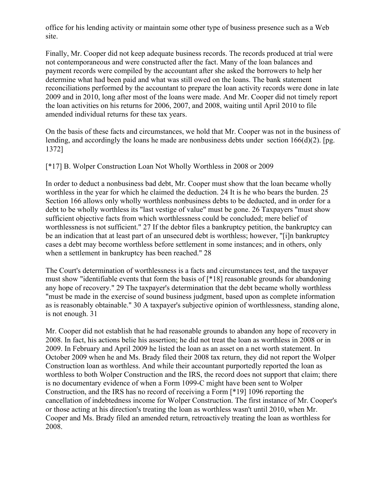office for his lending activity or maintain some other type of business presence such as a Web site.

Finally, Mr. Cooper did not keep adequate business records. The records produced at trial were not contemporaneous and were constructed after the fact. Many of the loan balances and payment records were compiled by the accountant after she asked the borrowers to help her determine what had been paid and what was still owed on the loans. The bank statement reconciliations performed by the accountant to prepare the loan activity records were done in late 2009 and in 2010, long after most of the loans were made. And Mr. Cooper did not timely report the loan activities on his returns for 2006, 2007, and 2008, waiting until April 2010 to file amended individual returns for these tax years.

On the basis of these facts and circumstances, we hold that Mr. Cooper was not in the business of lending, and accordingly the loans he made are nonbusiness debts under section 166(d)(2). [pg. 1372]

[\*17] B. Wolper Construction Loan Not Wholly Worthless in 2008 or 2009

In order to deduct a nonbusiness bad debt, Mr. Cooper must show that the loan became wholly worthless in the year for which he claimed the deduction. 24 It is he who bears the burden. 25 Section 166 allows only wholly worthless nonbusiness debts to be deducted, and in order for a debt to be wholly worthless its "last vestige of value" must be gone. 26 Taxpayers "must show sufficient objective facts from which worthlessness could be concluded; mere belief of worthlessness is not sufficient." 27 If the debtor files a bankruptcy petition, the bankruptcy can be an indication that at least part of an unsecured debt is worthless; however, "[i]n bankruptcy cases a debt may become worthless before settlement in some instances; and in others, only when a settlement in bankruptcy has been reached." 28

The Court's determination of worthlessness is a facts and circumstances test, and the taxpayer must show "identifiable events that form the basis of [\*18] reasonable grounds for abandoning any hope of recovery." 29 The taxpayer's determination that the debt became wholly worthless "must be made in the exercise of sound business judgment, based upon as complete information as is reasonably obtainable." 30 A taxpayer's subjective opinion of worthlessness, standing alone, is not enough. 31

Mr. Cooper did not establish that he had reasonable grounds to abandon any hope of recovery in 2008. In fact, his actions belie his assertion; he did not treat the loan as worthless in 2008 or in 2009. In February and April 2009 he listed the loan as an asset on a net worth statement. In October 2009 when he and Ms. Brady filed their 2008 tax return, they did not report the Wolper Construction loan as worthless. And while their accountant purportedly reported the loan as worthless to both Wolper Construction and the IRS, the record does not support that claim; there is no documentary evidence of when a Form 1099-C might have been sent to Wolper Construction, and the IRS has no record of receiving a Form [\*19] 1096 reporting the cancellation of indebtedness income for Wolper Construction. The first instance of Mr. Cooper's or those acting at his direction's treating the loan as worthless wasn't until 2010, when Mr. Cooper and Ms. Brady filed an amended return, retroactively treating the loan as worthless for 2008.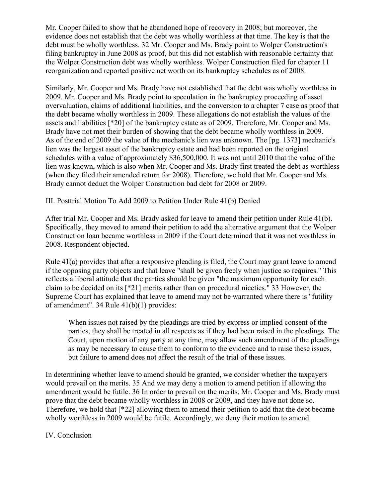Mr. Cooper failed to show that he abandoned hope of recovery in 2008; but moreover, the evidence does not establish that the debt was wholly worthless at that time. The key is that the debt must be wholly worthless. 32 Mr. Cooper and Ms. Brady point to Wolper Construction's filing bankruptcy in June 2008 as proof, but this did not establish with reasonable certainty that the Wolper Construction debt was wholly worthless. Wolper Construction filed for chapter 11 reorganization and reported positive net worth on its bankruptcy schedules as of 2008.

Similarly, Mr. Cooper and Ms. Brady have not established that the debt was wholly worthless in 2009. Mr. Cooper and Ms. Brady point to speculation in the bankruptcy proceeding of asset overvaluation, claims of additional liabilities, and the conversion to a chapter 7 case as proof that the debt became wholly worthless in 2009. These allegations do not establish the values of the assets and liabilities [\*20] of the bankruptcy estate as of 2009. Therefore, Mr. Cooper and Ms. Brady have not met their burden of showing that the debt became wholly worthless in 2009. As of the end of 2009 the value of the mechanic's lien was unknown. The [pg. 1373] mechanic's lien was the largest asset of the bankruptcy estate and had been reported on the original schedules with a value of approximately \$36,500,000. It was not until 2010 that the value of the lien was known, which is also when Mr. Cooper and Ms. Brady first treated the debt as worthless (when they filed their amended return for 2008). Therefore, we hold that Mr. Cooper and Ms. Brady cannot deduct the Wolper Construction bad debt for 2008 or 2009.

III. Posttrial Motion To Add 2009 to Petition Under Rule 41(b) Denied

After trial Mr. Cooper and Ms. Brady asked for leave to amend their petition under Rule 41(b). Specifically, they moved to amend their petition to add the alternative argument that the Wolper Construction loan became worthless in 2009 if the Court determined that it was not worthless in 2008. Respondent objected.

Rule 41(a) provides that after a responsive pleading is filed, the Court may grant leave to amend if the opposing party objects and that leave "shall be given freely when justice so requires." This reflects a liberal attitude that the parties should be given "the maximum opportunity for each claim to be decided on its [\*21] merits rather than on procedural niceties." 33 However, the Supreme Court has explained that leave to amend may not be warranted where there is "futility of amendment". 34 Rule 41(b)(1) provides:

When issues not raised by the pleadings are tried by express or implied consent of the parties, they shall be treated in all respects as if they had been raised in the pleadings. The Court, upon motion of any party at any time, may allow such amendment of the pleadings as may be necessary to cause them to conform to the evidence and to raise these issues, but failure to amend does not affect the result of the trial of these issues.

In determining whether leave to amend should be granted, we consider whether the taxpayers would prevail on the merits. 35 And we may deny a motion to amend petition if allowing the amendment would be futile. 36 In order to prevail on the merits, Mr. Cooper and Ms. Brady must prove that the debt became wholly worthless in 2008 or 2009, and they have not done so. Therefore, we hold that [\*22] allowing them to amend their petition to add that the debt became wholly worthless in 2009 would be futile. Accordingly, we deny their motion to amend.

## IV. Conclusion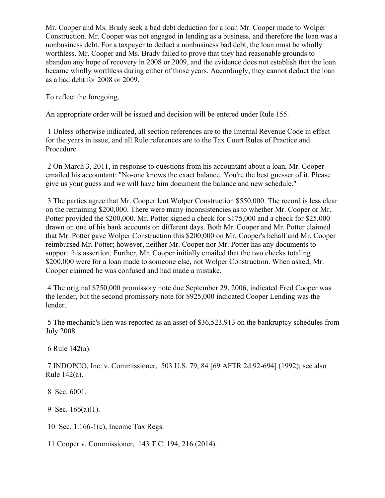Mr. Cooper and Ms. Brady seek a bad debt deduction for a loan Mr. Cooper made to Wolper Construction. Mr. Cooper was not engaged in lending as a business, and therefore the loan was a nonbusiness debt. For a taxpayer to deduct a nonbusiness bad debt, the loan must be wholly worthless. Mr. Cooper and Ms. Brady failed to prove that they had reasonable grounds to abandon any hope of recovery in 2008 or 2009, and the evidence does not establish that the loan became wholly worthless during either of those years. Accordingly, they cannot deduct the loan as a bad debt for 2008 or 2009.

To reflect the foregoing,

An appropriate order will be issued and decision will be entered under Rule 155.

1 Unless otherwise indicated, all section references are to the Internal Revenue Code in effect for the years in issue, and all Rule references are to the Tax Court Rules of Practice and Procedure.

2 On March 3, 2011, in response to questions from his accountant about a loan, Mr. Cooper emailed his accountant: "No-one knows the exact balance. You're the best guesser of it. Please give us your guess and we will have him document the balance and new schedule."

3 The parties agree that Mr. Cooper lent Wolper Construction \$550,000. The record is less clear on the remaining \$200,000. There were many inconsistencies as to whether Mr. Cooper or Mr. Potter provided the \$200,000. Mr. Potter signed a check for \$175,000 and a check for \$25,000 drawn on one of his bank accounts on different days. Both Mr. Cooper and Mr. Potter claimed that Mr. Potter gave Wolper Construction this \$200,000 on Mr. Cooper's behalf and Mr. Cooper reimbursed Mr. Potter; however, neither Mr. Cooper nor Mr. Potter has any documents to support this assertion. Further, Mr. Cooper initially emailed that the two checks totaling \$200,000 were for a loan made to someone else, not Wolper Construction. When asked, Mr. Cooper claimed he was confused and had made a mistake.

4 The original \$750,000 promissory note due September 29, 2006, indicated Fred Cooper was the lender, but the second promissory note for \$925,000 indicated Cooper Lending was the lender.

5 The mechanic's lien was reported as an asset of \$36,523,913 on the bankruptcy schedules from July 2008.

6 Rule 142(a).

7 INDOPCO, Inc. v. Commissioner, 503 U.S. 79, 84 [69 AFTR 2d 92-694] (1992); see also Rule 142(a).

8 Sec. 6001.

9 Sec. 166(a)(1).

10 Sec. 1.166-1(c), Income Tax Regs.

11 Cooper v. Commissioner, 143 T.C. 194, 216 (2014).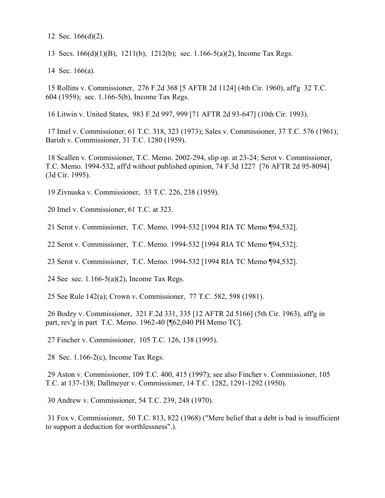12 Sec. 166(d)(2).

13 Secs. 166(d)(1)(B), 1211(b), 1212(b); sec. 1.166-5(a)(2), Income Tax Regs.

14 Sec. 166(a).

15 Rollins v. Commissioner, 276 F.2d 368 [5 AFTR 2d 1124] (4th Cir. 1960), aff'g 32 T.C. 604 (1959); sec. 1.166-5(b), Income Tax Regs.

16 Litwin v. United States, 983 F.2d 997, 999 [71 AFTR 2d 93-647] (10th Cir. 1993).

17 Imel v. Commissioner, 61 T.C. 318, 323 (1973); Sales v. Commissioner, 37 T.C. 576 (1961); Barish v. Commissioner, 31 T.C. 1280 (1959).

18 Scallen v. Commissioner, T.C. Memo. 2002-294, slip op. at 23-24; Serot v. Commissioner, T.C. Memo. 1994-532, aff'd without published opinion, 74 F.3d 1227 [76 AFTR 2d 95-8094] (3d Cir. 1995).

19 Zivnuska v. Commissioner, 33 T.C. 226, 238 (1959).

20 Imel v. Commissioner, 61 T.C. at 323.

21 Serot v. Commissioner, T.C. Memo. 1994-532 [1994 RIA TC Memo ¶94,532].

22 Serot v. Commissioner, T.C. Memo. 1994-532 [1994 RIA TC Memo ¶94,532].

23 Serot v. Commissioner, T.C. Memo. 1994-532 [1994 RIA TC Memo ¶94,532].

24 See sec. 1.166-5(a)(2), Income Tax Regs.

25 See Rule 142(a); Crown v. Commissioner, 77 T.C. 582, 598 (1981).

26 Bodzy v. Commissioner, 321 F.2d 331, 335 [12 AFTR 2d 5166] (5th Cir. 1963), aff'g in part, rev'g in part T.C. Memo. 1962-40 [¶62,040 PH Memo TC].

27 Fincher v. Commissioner, 105 T.C. 126, 138 (1995).

28 Sec. 1.166-2(c), Income Tax Regs.

29 Aston v. Commissioner, 109 T.C. 400, 415 (1997); see also Fincher v. Commissioner, 105 T.C. at 137-138; Dallmeyer v. Commissioner, 14 T.C. 1282, 1291-1292 (1950).

30 Andrew v. Commissioner, 54 T.C. 239, 248 (1970).

31 Fox v. Commissioner, 50 T.C. 813, 822 (1968) ("Mere belief that a debt is bad is insufficient to support a deduction for worthlessness".).